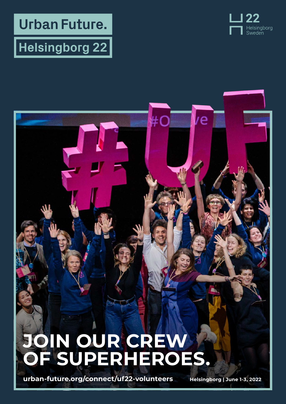**Urban Future.** 

## $|\mathsf{Helsingborg}$  22  $|$



# **JOIN OUR CREW OF SUPERHEROES.**

 $\#O$ 

/e

**[urban-future.org/connect/uf22-volunteers](https://urban-future.org/connect/uf22-volunteers) Helsingborg | June 1-3, 2022**

www.urban-future.org/